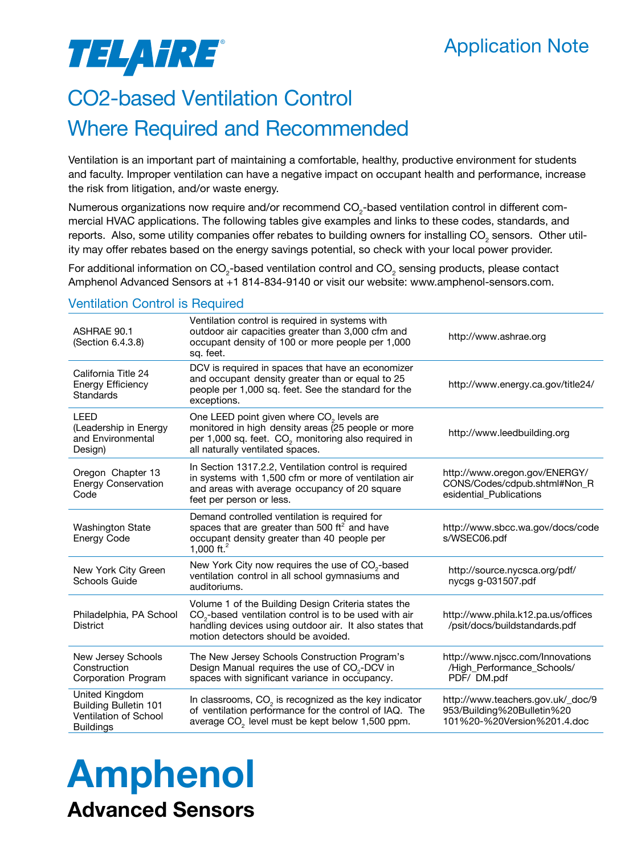### Application Note

# TELAHRE®

## CO2-based Ventilation Control

### Where Required and Recommended

Ventilation is an important part of maintaining a comfortable, healthy, productive environment for students and faculty. Improper ventilation can have a negative impact on occupant health and performance, increase the risk from litigation, and/or waste energy.

Numerous organizations now require and/or recommend CO<sub>2</sub>-based ventilation control in different commercial HVAC applications. The following tables give examples and links to these codes, standards, and reports. Also, some utility companies offer rebates to building owners for installing CO<sub>2</sub> sensors. Other utility may offer rebates based on the energy savings potential, so check with your local power provider.

For additional information on CO<sub>2</sub>-based ventilation control and CO<sub>2</sub> sensing products, please contact Amphenol Advanced Sensors at +1 814-834-9140 or visit our website: www.amphenol-sensors.com.

| ASHRAE 90.1<br>(Section 6.4.3.8)                                                            | Ventilation control is required in systems with<br>outdoor air capacities greater than 3,000 cfm and<br>occupant density of 100 or more people per 1,000<br>sq. feet.                                                      | http://www.ashrae.org                                                                          |
|---------------------------------------------------------------------------------------------|----------------------------------------------------------------------------------------------------------------------------------------------------------------------------------------------------------------------------|------------------------------------------------------------------------------------------------|
| California Title 24<br><b>Energy Efficiency</b><br>Standards                                | DCV is required in spaces that have an economizer<br>and occupant density greater than or equal to 25<br>people per 1,000 sq. feet. See the standard for the<br>exceptions.                                                | http://www.energy.ca.gov/title24/                                                              |
| LEED<br>(Leadership in Energy<br>and Environmental<br>Design)                               | One LEED point given where CO <sub>2</sub> levels are<br>monitored in high density areas (25 people or more<br>per 1,000 sq. feet. CO <sub>2</sub> monitoring also required in<br>all naturally ventilated spaces.         | http://www.leedbuilding.org                                                                    |
| Oregon Chapter 13<br><b>Energy Conservation</b><br>Code                                     | In Section 1317.2.2, Ventilation control is required<br>in systems with 1,500 cfm or more of ventilation air<br>and areas with average occupancy of 20 square<br>feet per person or less.                                  | http://www.oregon.gov/ENERGY/<br>CONS/Codes/cdpub.shtml#Non_R<br>esidential_Publications       |
| <b>Washington State</b><br>Energy Code                                                      | Demand controlled ventilation is required for<br>spaces that are greater than 500 $\text{ft}^2$ and have<br>occupant density greater than 40 people per<br>1.000 ft. $^{2}$                                                | http://www.sbcc.wa.gov/docs/code<br>s/WSEC06.pdf                                               |
| New York City Green<br>Schools Guide                                                        | New York City now requires the use of $CO_{2}$ -based<br>ventilation control in all school gymnasiums and<br>auditoriums.                                                                                                  | http://source.nycsca.org/pdf/<br>nycgs g-031507.pdf                                            |
| Philadelphia, PA School<br><b>District</b>                                                  | Volume 1 of the Building Design Criteria states the<br>CO <sub>2</sub> -based ventilation control is to be used with air<br>handling devices using outdoor air. It also states that<br>motion detectors should be avoided. | http://www.phila.k12.pa.us/offices<br>/psit/docs/buildstandards.pdf                            |
| New Jersey Schools<br>Construction<br>Corporation Program                                   | The New Jersey Schools Construction Program's<br>Design Manual requires the use of CO <sub>2</sub> -DCV in<br>spaces with significant variance in occupancy.                                                               | http://www.njscc.com/Innovations<br>/High_Performance_Schools/<br>PDF/DM.pdf                   |
| United Kingdom<br><b>Building Bulletin 101</b><br>Ventilation of School<br><b>Buildings</b> | In classrooms, $CO2$ is recognized as the key indicator<br>of ventilation performance for the control of IAQ. The<br>average CO <sub>2</sub> level must be kept below 1,500 ppm.                                           | http://www.teachers.gov.uk/_doc/9<br>953/Building%20Bulletin%20<br>101%20-%20Version%201.4.doc |

#### Ventilation Control is Required

# Amphenol Advanced Sensors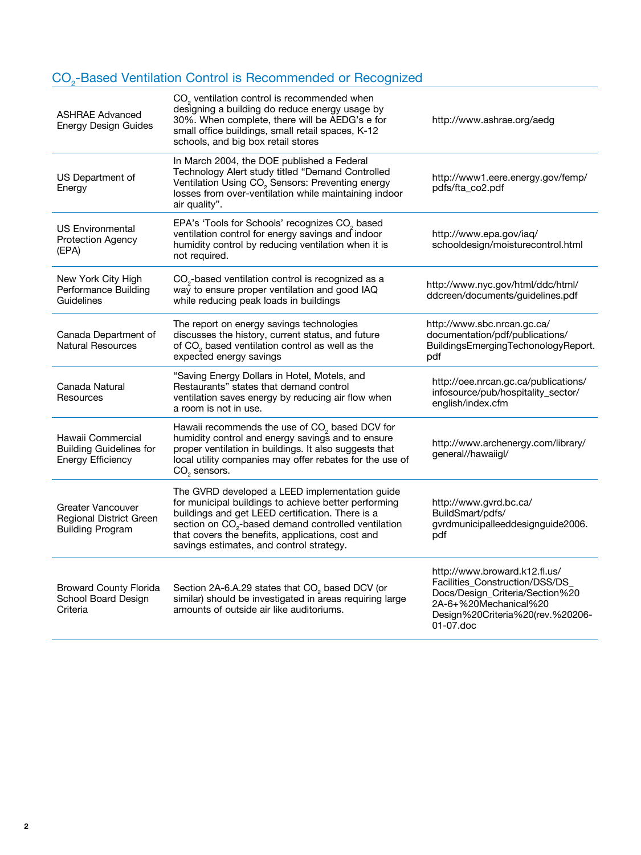#### CO<sub>2</sub>-Based Ventilation Control is Recommended or Recognized

| In March 2004, the DOE published a Federal<br>Technology Alert study titled "Demand Controlled<br>US Department of<br>http://www1.eere.energy.gov/femp/<br>Ventilation Using CO <sub>2</sub> Sensors: Preventing energy<br>pdfs/fta_co2.pdf<br>Energy<br>losses from over-ventilation while maintaining indoor<br>air quality".<br>EPA's 'Tools for Schools' recognizes CO <sub>2</sub> based<br>US Environmental<br>ventilation control for energy savings and indoor<br>http://www.epa.gov/iaq/<br><b>Protection Agency</b><br>humidity control by reducing ventilation when it is<br>schooldesign/moisturecontrol.html<br>(EPA)<br>not required.<br>CO <sub>2</sub> -based ventilation control is recognized as a<br>New York City High<br>http://www.nyc.gov/html/ddc/html/<br>Performance Building<br>way to ensure proper ventilation and good IAQ<br>ddcreen/documents/guidelines.pdf<br>Guidelines<br>while reducing peak loads in buildings<br>The report on energy savings technologies<br>http://www.sbc.nrcan.gc.ca/<br>discusses the history, current status, and future<br>documentation/pdf/publications/<br>Canada Department of<br><b>Natural Resources</b><br>of CO <sub>2</sub> based ventilation control as well as the<br>expected energy savings<br>pdf<br>"Saving Energy Dollars in Hotel, Motels, and<br>http://oee.nrcan.gc.ca/publications/<br>Restaurants" states that demand control<br>Canada Natural<br>infosource/pub/hospitality_sector/<br>ventilation saves energy by reducing air flow when<br>Resources<br>english/index.cfm<br>a room is not in use.<br>Hawaii recommends the use of CO <sub>2</sub> based DCV for<br>humidity control and energy savings and to ensure<br>Hawaii Commercial<br>http://www.archenergy.com/library/<br><b>Building Guidelines for</b><br>proper ventilation in buildings. It also suggests that<br>general//hawaiigl/<br><b>Energy Efficiency</b><br>local utility companies may offer rebates for the use of<br>$CO2$ sensors.<br>The GVRD developed a LEED implementation guide<br>for municipal buildings to achieve better performing<br>http://www.gvrd.bc.ca/<br><b>Greater Vancouver</b><br>buildings and get LEED certification. There is a<br>BuildSmart/pdfs/<br>Regional District Green<br>section on CO <sub>2</sub> -based demand controlled ventilation<br>gvrdmunicipalleeddesignguide2006.<br><b>Building Program</b><br>that covers the benefits, applications, cost and<br>pdf<br>savings estimates, and control strategy.<br>http://www.broward.k12.fl.us/<br>Facilities_Construction/DSS/DS_<br>Broward County Florida<br>Section 2A-6.A.29 states that $CO_{2}$ based DCV (or<br>Docs/Design_Criteria/Section%20<br>similar) should be investigated in areas requiring large<br>School Board Design<br>2A-6+%20Mechanical%20<br>amounts of outside air like auditoriums.<br>Criteria<br>Design%20Criteria%20(rev.%20206-<br>01-07.doc | <b>ASHRAE Advanced</b><br>Energy Design Guides | $CO2$ ventilation control is recommended when<br>designing a building do reduce energy usage by<br>30%. When complete, there will be AEDG's e for<br>small office buildings, small retail spaces, K-12<br>schools, and big box retail stores | http://www.ashrae.org/aedg          |
|--------------------------------------------------------------------------------------------------------------------------------------------------------------------------------------------------------------------------------------------------------------------------------------------------------------------------------------------------------------------------------------------------------------------------------------------------------------------------------------------------------------------------------------------------------------------------------------------------------------------------------------------------------------------------------------------------------------------------------------------------------------------------------------------------------------------------------------------------------------------------------------------------------------------------------------------------------------------------------------------------------------------------------------------------------------------------------------------------------------------------------------------------------------------------------------------------------------------------------------------------------------------------------------------------------------------------------------------------------------------------------------------------------------------------------------------------------------------------------------------------------------------------------------------------------------------------------------------------------------------------------------------------------------------------------------------------------------------------------------------------------------------------------------------------------------------------------------------------------------------------------------------------------------------------------------------------------------------------------------------------------------------------------------------------------------------------------------------------------------------------------------------------------------------------------------------------------------------------------------------------------------------------------------------------------------------------------------------------------------------------------------------------------------------------------------------------------------------------------------------------------------------------------------------------------------------------------------------------------------------------------------------------------------------------------------------------------------------------------------------------------------------------------------------------------------------------------------------------------------------------------------------------------------------------------|------------------------------------------------|----------------------------------------------------------------------------------------------------------------------------------------------------------------------------------------------------------------------------------------------|-------------------------------------|
|                                                                                                                                                                                                                                                                                                                                                                                                                                                                                                                                                                                                                                                                                                                                                                                                                                                                                                                                                                                                                                                                                                                                                                                                                                                                                                                                                                                                                                                                                                                                                                                                                                                                                                                                                                                                                                                                                                                                                                                                                                                                                                                                                                                                                                                                                                                                                                                                                                                                                                                                                                                                                                                                                                                                                                                                                                                                                                                                |                                                |                                                                                                                                                                                                                                              |                                     |
|                                                                                                                                                                                                                                                                                                                                                                                                                                                                                                                                                                                                                                                                                                                                                                                                                                                                                                                                                                                                                                                                                                                                                                                                                                                                                                                                                                                                                                                                                                                                                                                                                                                                                                                                                                                                                                                                                                                                                                                                                                                                                                                                                                                                                                                                                                                                                                                                                                                                                                                                                                                                                                                                                                                                                                                                                                                                                                                                |                                                |                                                                                                                                                                                                                                              |                                     |
|                                                                                                                                                                                                                                                                                                                                                                                                                                                                                                                                                                                                                                                                                                                                                                                                                                                                                                                                                                                                                                                                                                                                                                                                                                                                                                                                                                                                                                                                                                                                                                                                                                                                                                                                                                                                                                                                                                                                                                                                                                                                                                                                                                                                                                                                                                                                                                                                                                                                                                                                                                                                                                                                                                                                                                                                                                                                                                                                |                                                |                                                                                                                                                                                                                                              |                                     |
|                                                                                                                                                                                                                                                                                                                                                                                                                                                                                                                                                                                                                                                                                                                                                                                                                                                                                                                                                                                                                                                                                                                                                                                                                                                                                                                                                                                                                                                                                                                                                                                                                                                                                                                                                                                                                                                                                                                                                                                                                                                                                                                                                                                                                                                                                                                                                                                                                                                                                                                                                                                                                                                                                                                                                                                                                                                                                                                                |                                                |                                                                                                                                                                                                                                              | BuildingsEmergingTechonologyReport. |
|                                                                                                                                                                                                                                                                                                                                                                                                                                                                                                                                                                                                                                                                                                                                                                                                                                                                                                                                                                                                                                                                                                                                                                                                                                                                                                                                                                                                                                                                                                                                                                                                                                                                                                                                                                                                                                                                                                                                                                                                                                                                                                                                                                                                                                                                                                                                                                                                                                                                                                                                                                                                                                                                                                                                                                                                                                                                                                                                |                                                |                                                                                                                                                                                                                                              |                                     |
|                                                                                                                                                                                                                                                                                                                                                                                                                                                                                                                                                                                                                                                                                                                                                                                                                                                                                                                                                                                                                                                                                                                                                                                                                                                                                                                                                                                                                                                                                                                                                                                                                                                                                                                                                                                                                                                                                                                                                                                                                                                                                                                                                                                                                                                                                                                                                                                                                                                                                                                                                                                                                                                                                                                                                                                                                                                                                                                                |                                                |                                                                                                                                                                                                                                              |                                     |
|                                                                                                                                                                                                                                                                                                                                                                                                                                                                                                                                                                                                                                                                                                                                                                                                                                                                                                                                                                                                                                                                                                                                                                                                                                                                                                                                                                                                                                                                                                                                                                                                                                                                                                                                                                                                                                                                                                                                                                                                                                                                                                                                                                                                                                                                                                                                                                                                                                                                                                                                                                                                                                                                                                                                                                                                                                                                                                                                |                                                |                                                                                                                                                                                                                                              |                                     |
|                                                                                                                                                                                                                                                                                                                                                                                                                                                                                                                                                                                                                                                                                                                                                                                                                                                                                                                                                                                                                                                                                                                                                                                                                                                                                                                                                                                                                                                                                                                                                                                                                                                                                                                                                                                                                                                                                                                                                                                                                                                                                                                                                                                                                                                                                                                                                                                                                                                                                                                                                                                                                                                                                                                                                                                                                                                                                                                                |                                                |                                                                                                                                                                                                                                              |                                     |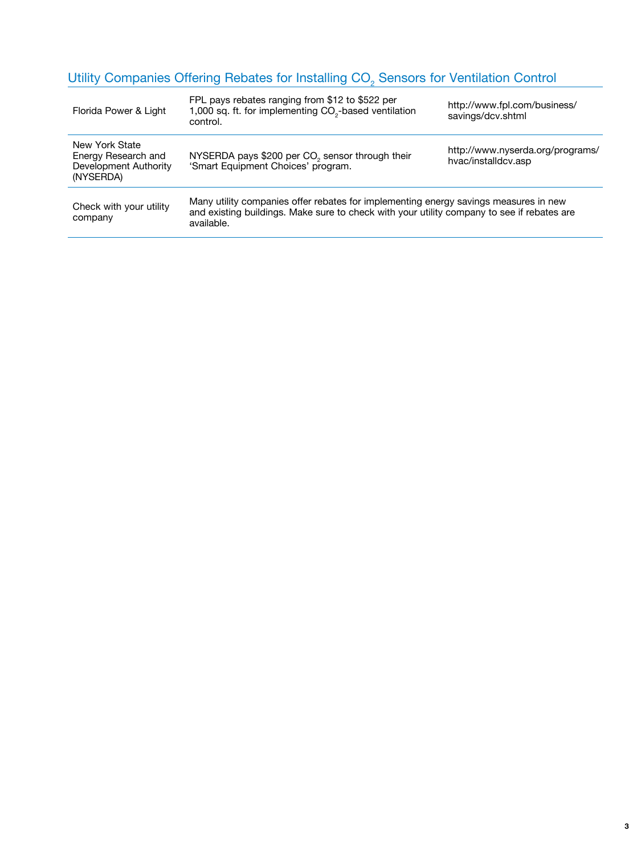#### Utility Companies Offering Rebates for Installing CO<sub>2</sub> Sensors for Ventilation Control

| Florida Power & Light                                                       | FPL pays rebates ranging from \$12 to \$522 per<br>1,000 sq. ft. for implementing CO <sub>2</sub> -based ventilation<br>control.                                                                 | http://www.fpl.com/business/<br>savings/dcv.shtml       |
|-----------------------------------------------------------------------------|--------------------------------------------------------------------------------------------------------------------------------------------------------------------------------------------------|---------------------------------------------------------|
| New York State<br>Energy Research and<br>Development Authority<br>(NYSERDA) | NYSERDA pays \$200 per CO <sub>2</sub> sensor through their<br>'Smart Equipment Choices' program.                                                                                                | http://www.nyserda.org/programs/<br>hvac/installdcv.asp |
| Check with your utility<br>company                                          | Many utility companies offer rebates for implementing energy savings measures in new<br>and existing buildings. Make sure to check with your utility company to see if rebates are<br>available. |                                                         |